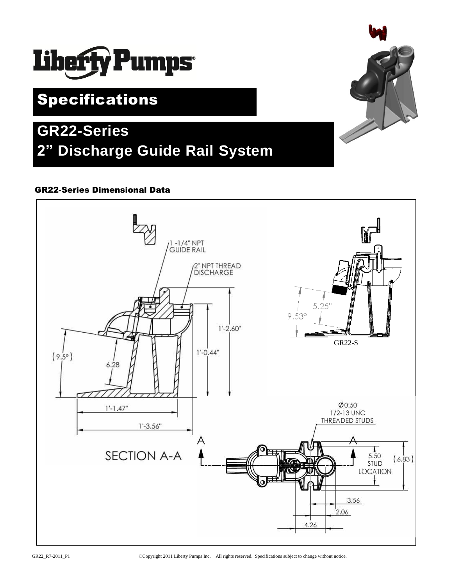

## Specifications

# **GR22-Series 2" Discharge Guide Rail System**

## GR22-Series Dimensional Data



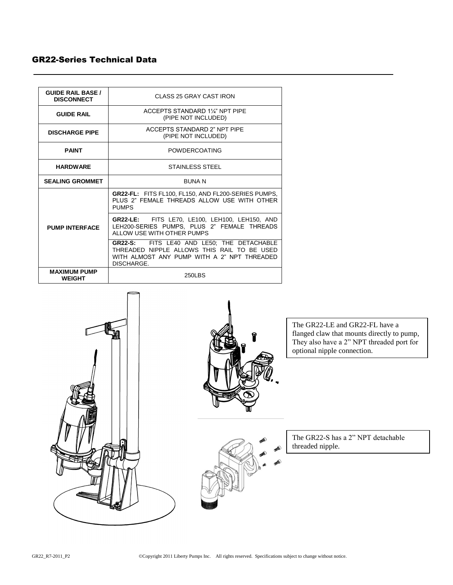### GR22-Series Technical Data

| <b>GUIDE RAIL BASE /</b><br><b>DISCONNECT</b> | CLASS 25 GRAY CAST IRON                                                                                                                                |
|-----------------------------------------------|--------------------------------------------------------------------------------------------------------------------------------------------------------|
| <b>GUIDE RAIL</b>                             | ACCEPTS STANDARD 11/4" NPT PIPE<br>(PIPE NOT INCLUDED)                                                                                                 |
| <b>DISCHARGE PIPE</b>                         | ACCEPTS STANDARD 2" NPT PIPE<br>(PIPE NOT INCLUDED)                                                                                                    |
| <b>PAINT</b>                                  | <b>POWDERCOATING</b>                                                                                                                                   |
| <b>HARDWARE</b>                               | STAINLESS STEEL                                                                                                                                        |
| <b>SEALING GROMMET</b>                        | <b>BUNAN</b>                                                                                                                                           |
| <b>PUMP INTERFACE</b>                         | <b>GR22-FL:</b> FITS FL100, FL150, AND FL200-SERIES PUMPS,<br>PLUS 2" FEMALE THREADS ALLOW USE WITH OTHER<br><b>PUMPS</b>                              |
|                                               | <b>GR22-LE:</b> FITS LE70, LE100, LEH100, LEH150, AND<br>LEH200-SERIES PUMPS, PLUS 2" FEMALE THREADS<br>ALLOW USE WITH OTHER PUMPS                     |
|                                               | GR22-S: FITS LE40 AND LE50; THE DETACHABLE<br>THREADED NIPPLE ALLOWS THIS RAIL TO BE USED<br>WITH ALMOST ANY PUMP WITH A 2" NPT THREADED<br>DISCHARGE. |
| <b>MAXIMUM PUMP</b><br><b>WEIGHT</b>          | 250LBS                                                                                                                                                 |



The GR22-LE and GR22-FL have a flanged claw that mounts directly to pump, They also have a 2" NPT threaded port for optional nipple connection.

The GR22-S has a 2" NPT detachable threaded nipple.

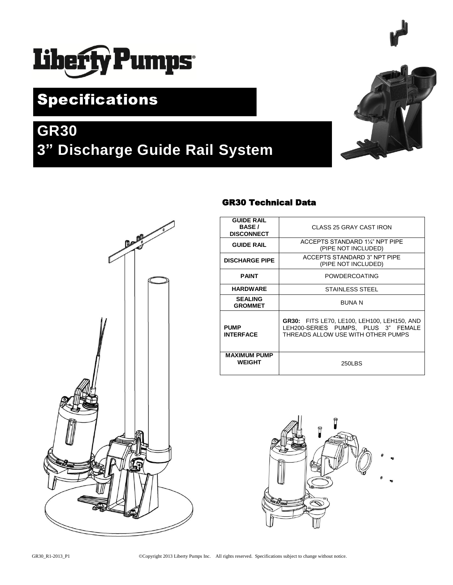# Liberty Pumps

# Specifications

# **GR30 3" Discharge Guide Rail System**





## GR30 Technical Data

| <b>GUIDE RAIL</b><br><b>BASE</b> /<br><b>DISCONNECT</b> | CLASS 25 GRAY CAST IRON                                                                                                  |
|---------------------------------------------------------|--------------------------------------------------------------------------------------------------------------------------|
| <b>GUIDE RAIL</b>                                       | ACCEPTS STANDARD 11/4" NPT PIPE<br>(PIPE NOT INCLUDED)                                                                   |
| <b>DISCHARGE PIPE</b>                                   | ACCEPTS STANDARD 3" NPT PIPE<br>(PIPE NOT INCLUDED)                                                                      |
| <b>PAINT</b>                                            | <b>POWDERCOATING</b>                                                                                                     |
| <b>HARDWARE</b>                                         | <b>STAINLESS STEEL</b>                                                                                                   |
| <b>SEALING</b><br><b>GROMMET</b>                        | <b>BUNAN</b>                                                                                                             |
| <b>PUMP</b><br><b>INTERFACE</b>                         | GR30: FITS LE70, LE100, LEH100, LEH150, AND<br>LEH200-SERIES PUMPS. PLUS 3" FEMALE<br>THREADS ALLOW USE WITH OTHER PUMPS |
| <b>MAXIMUM PUMP</b><br><b>WEIGHT</b>                    | 250LBS                                                                                                                   |